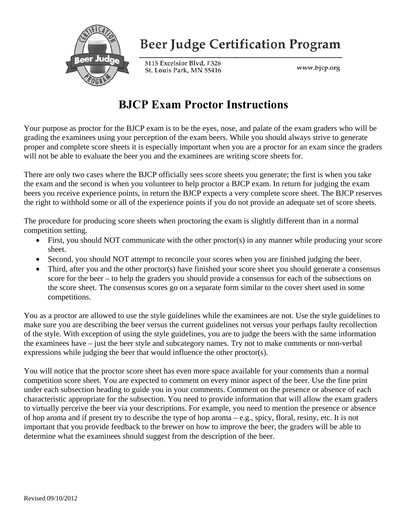

## **Beer Judge Certification Program**

5115 Excelsior Blvd, #326 St. Louis Park, MN 55416

www.bjcp.org

#### **BJCP Exam Proctor Instructions**

Your purpose as proctor for the BJCP exam is to be the eyes, nose, and palate of the exam graders who will be grading the examinees using your perception of the exam beers. While you should always strive to generate proper and complete score sheets it is especially important when you are a proctor for an exam since the graders will not be able to evaluate the beer you and the examinees are writing score sheets for.

There are only two cases where the BJCP officially sees score sheets you generate; the first is when you take the exam and the second is when you volunteer to help proctor a BJCP exam. In return for judging the exam beers you receive experience points, in return the BJCP expects a very complete score sheet. The BJCP reserves the right to withhold some or all of the experience points if you do not provide an adequate set of score sheets.

The procedure for producing score sheets when proctoring the exam is slightly different than in a normal competition setting.

- First, you should NOT communicate with the other proctor(s) in any manner while producing your score sheet.
- Second, you should NOT attempt to reconcile your scores when you are finished judging the beer.
- Third, after you and the other proctor(s) have finished your score sheet you should generate a consensus score for the beer – to help the graders you should provide a consensus for each of the subsections on the score sheet. The consensus scores go on a separate form similar to the cover sheet used in some competitions.

You as a proctor are allowed to use the style guidelines while the examinees are not. Use the style guidelines to make sure you are describing the beer versus the current guidelines not versus your perhaps faulty recollection of the style. With exception of using the style guidelines, you are to judge the beers with the same information the examinees have – just the beer style and subcategory names. Try not to make comments or non-verbal expressions while judging the beer that would influence the other proctor(s).

You will notice that the proctor score sheet has even more space available for your comments than a normal competition score sheet. You are expected to comment on every minor aspect of the beer. Use the fine print under each subsection heading to guide you in your comments. Comment on the presence or absence of each characteristic appropriate for the subsection. You need to provide information that will allow the exam graders to virtually perceive the beer via your descriptions. For example, you need to mention the presence or absence of hop aroma and if present try to describe the type of hop aroma – e.g., spicy, floral, resiny, etc. It is not important that you provide feedback to the brewer on how to improve the beer, the graders will be able to determine what the examinees should suggest from the description of the beer.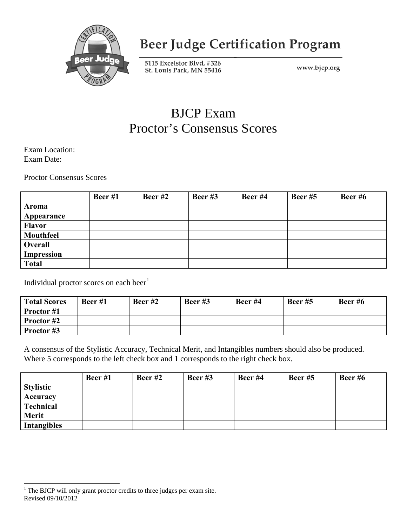

## **Beer Judge Certification Program**

5115 Excelsior Blvd, #326 St. Louis Park, MN 55416

www.bjcp.org

#### BJCP Exam Proctor's Consensus Scores

Exam Location: Exam Date:

Proctor Consensus Scores

|               | Beer $#1$ | Beer $#2$ | Beer $#3$ | Beer #4 | Beer $#5$ | Beer $#6$ |
|---------------|-----------|-----------|-----------|---------|-----------|-----------|
| Aroma         |           |           |           |         |           |           |
| Appearance    |           |           |           |         |           |           |
| <b>Flavor</b> |           |           |           |         |           |           |
| Mouthfeel     |           |           |           |         |           |           |
| Overall       |           |           |           |         |           |           |
| Impression    |           |           |           |         |           |           |
| <b>Total</b>  |           |           |           |         |           |           |

Individual proctor scores on each beer<sup>[1](#page-1-0)</sup>

| <b>Total Scores</b> | Beer $#1$ | Beer $#2$ | Beer $#3$ | Beer #4 | Beer $#5$ | Beer $#6$ |
|---------------------|-----------|-----------|-----------|---------|-----------|-----------|
| <b>Proctor</b> #1   |           |           |           |         |           |           |
| Proctor #2          |           |           |           |         |           |           |
| Proctor #3          |           |           |           |         |           |           |

A consensus of the Stylistic Accuracy, Technical Merit, and Intangibles numbers should also be produced. Where 5 corresponds to the left check box and 1 corresponds to the right check box.

|                    | Beer $#1$ | Beer $#2$ | Beer $#3$ | Beer #4 | Beer $#5$ | Beer $#6$ |
|--------------------|-----------|-----------|-----------|---------|-----------|-----------|
| <b>Stylistic</b>   |           |           |           |         |           |           |
| <b>Accuracy</b>    |           |           |           |         |           |           |
| Technical          |           |           |           |         |           |           |
| <b>Merit</b>       |           |           |           |         |           |           |
| <b>Intangibles</b> |           |           |           |         |           |           |

<span id="page-1-0"></span>Revised 09/10/2012 <sup>1</sup> The BJCP will only grant proctor credits to three judges per exam site.